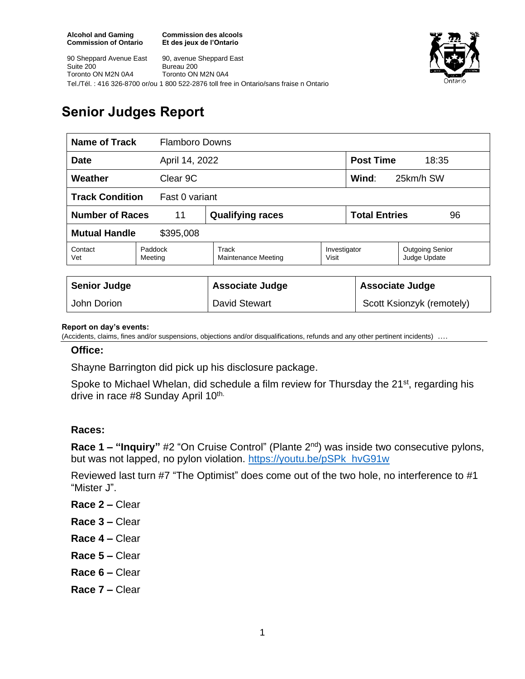90 Sheppard Avenue East

Toronto ON M2N 0A4

Suite 200

**Commission des alcools Et des jeux de l'Ontario**





# **Senior Judges Report**

| <b>Name of Track</b>                     |                    | <b>Flamboro Downs</b>        |                       |                            |                                        |
|------------------------------------------|--------------------|------------------------------|-----------------------|----------------------------|----------------------------------------|
| April 14, 2022<br><b>Date</b>            |                    |                              |                       | <b>Post Time</b><br>18:35  |                                        |
| Weather<br>Clear 9C                      |                    |                              |                       | Wind:<br>25km/h SW         |                                        |
| <b>Track Condition</b><br>Fast 0 variant |                    |                              |                       |                            |                                        |
| <b>Number of Races</b><br>11             |                    | <b>Qualifying races</b>      |                       | <b>Total Entries</b><br>96 |                                        |
| <b>Mutual Handle</b><br>\$395,008        |                    |                              |                       |                            |                                        |
| Contact<br>Vet                           | Paddock<br>Meeting | Track<br>Maintenance Meeting | Investigator<br>Visit |                            | <b>Outgoing Senior</b><br>Judge Update |
|                                          |                    |                              |                       |                            |                                        |
| <b>Senior Judge</b>                      |                    | <b>Associate Judge</b>       |                       | <b>Associate Judge</b>     |                                        |
| John Dorion                              |                    | <b>David Stewart</b>         |                       | Scott Ksionzyk (remotely)  |                                        |

#### **Report on day's events:**

(Accidents, claims, fines and/or suspensions, objections and/or disqualifications, refunds and any other pertinent incidents)

### **Office:**

Shayne Barrington did pick up his disclosure package.

Spoke to Michael Whelan, did schedule a film review for Thursday the 21<sup>st</sup>, regarding his drive in race #8 Sunday April 10th.

### **Races:**

**Race 1 – "Inquiry"** #2 "On Cruise Control" (Plante 2nd) was inside two consecutive pylons, but was not lapped, no pylon violation. [https://youtu.be/pSPk\\_hvG91w](https://youtu.be/pSPk_hvG91w)

Reviewed last turn #7 "The Optimist" does come out of the two hole, no interference to #1 "Mister J".

- **Race 2 –** Clear
- **Race 3 –** Clear
- **Race 4 –** Clear
- **Race 5 –** Clear
- **Race 6 –** Clear
- **Race 7 –** Clear